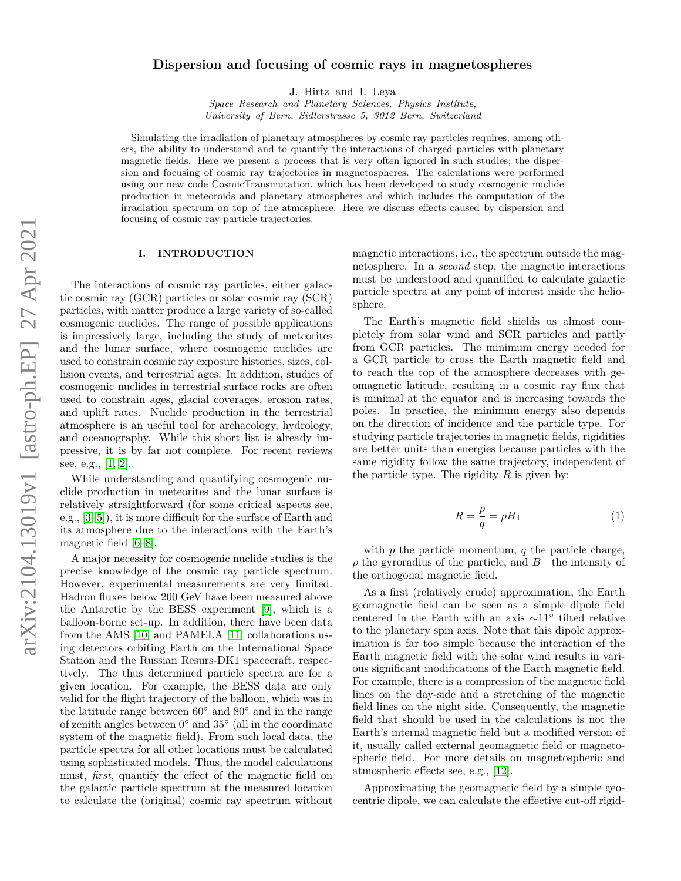# arXiv:2104.13019v1 [astro-ph.EP] 27 Apr 2021 arXiv:2104.13019v1 [astro-ph.EP] 27 Apr 2021

# **Dispersion and focusing of cosmic rays in magnetospheres**

J. Hirtz and I. Leya

*Space Research and Planetary Sciences, Physics Institute, University of Bern, Sidlerstrasse 5, 3012 Bern, Switzerland*

Simulating the irradiation of planetary atmospheres by cosmic ray particles requires, among others, the ability to understand and to quantify the interactions of charged particles with planetary magnetic fields. Here we present a process that is very often ignored in such studies; the dispersion and focusing of cosmic ray trajectories in magnetospheres. The calculations were performed using our new code CosmicTransmutation, which has been developed to study cosmogenic nuclide production in meteoroids and planetary atmospheres and which includes the computation of the irradiation spectrum on top of the atmosphere. Here we discuss effects caused by dispersion and focusing of cosmic ray particle trajectories.

# **I. INTRODUCTION**

The interactions of cosmic ray particles, either galactic cosmic ray (GCR) particles or solar cosmic ray (SCR) particles, with matter produce a large variety of so-called cosmogenic nuclides. The range of possible applications is impressively large, including the study of meteorites and the lunar surface, where cosmogenic nuclides are used to constrain cosmic ray exposure histories, sizes, collision events, and terrestrial ages. In addition, studies of cosmogenic nuclides in terrestrial surface rocks are often used to constrain ages, glacial coverages, erosion rates, and uplift rates. Nuclide production in the terrestrial atmosphere is an useful tool for archaeology, hydrology, and oceanography. While this short list is already impressive, it is by far not complete. For recent reviews see, e.g., [\[1,](#page-7-0) [2\]](#page-7-1).

While understanding and quantifying cosmogenic nuclide production in meteorites and the lunar surface is relatively straightforward (for some critical aspects see, e.g., [\[3](#page-7-2)[–5\]](#page-7-3)), it is more difficult for the surface of Earth and its atmosphere due to the interactions with the Earth's magnetic field [\[6–](#page-7-4)[8\]](#page-7-5).

A major necessity for cosmogenic nuclide studies is the precise knowledge of the cosmic ray particle spectrum. However, experimental measurements are very limited. Hadron fluxes below 200 GeV have been measured above the Antarctic by the BESS experiment [\[9\]](#page-7-6), which is a balloon-borne set-up. In addition, there have been data from the AMS [\[10\]](#page-7-7) and PAMELA [\[11\]](#page-7-8) collaborations using detectors orbiting Earth on the International Space Station and the Russian Resurs-DK1 spacecraft, respectively. The thus determined particle spectra are for a given location. For example, the BESS data are only valid for the flight trajectory of the balloon, which was in the latitude range between  $60°$  and  $80°$  and in the range of zenith angles between 0 ◦ and 35◦ (all in the coordinate system of the magnetic field). From such local data, the particle spectra for all other locations must be calculated using sophisticated models. Thus, the model calculations must, *first*, quantify the effect of the magnetic field on the galactic particle spectrum at the measured location to calculate the (original) cosmic ray spectrum without

magnetic interactions, i.e., the spectrum outside the magnetosphere. In a *second* step, the magnetic interactions must be understood and quantified to calculate galactic particle spectra at any point of interest inside the heliosphere.

The Earth's magnetic field shields us almost completely from solar wind and SCR particles and partly from GCR particles. The minimum energy needed for a GCR particle to cross the Earth magnetic field and to reach the top of the atmosphere decreases with geomagnetic latitude, resulting in a cosmic ray flux that is minimal at the equator and is increasing towards the poles. In practice, the minimum energy also depends on the direction of incidence and the particle type. For studying particle trajectories in magnetic fields, rigidities are better units than energies because particles with the same rigidity follow the same trajectory, independent of the particle type. The rigidity  $R$  is given by:

$$
R = \frac{p}{q} = \rho B_{\perp} \tag{1}
$$

with *p* the particle momentum, *q* the particle charge,  $\rho$  the gyroradius of the particle, and  $B_{\perp}$  the intensity of the orthogonal magnetic field.

As a first (relatively crude) approximation, the Earth geomagnetic field can be seen as a simple dipole field centered in the Earth with an axis ∼11◦ tilted relative to the planetary spin axis. Note that this dipole approximation is far too simple because the interaction of the Earth magnetic field with the solar wind results in various significant modifications of the Earth magnetic field. For example, there is a compression of the magnetic field lines on the day-side and a stretching of the magnetic field lines on the night side. Consequently, the magnetic field that should be used in the calculations is not the Earth's internal magnetic field but a modified version of it, usually called external geomagnetic field or magnetospheric field. For more details on magnetospheric and atmospheric effects see, e.g., [\[12\]](#page-7-9).

Approximating the geomagnetic field by a simple geocentric dipole, we can calculate the effective cut-off rigid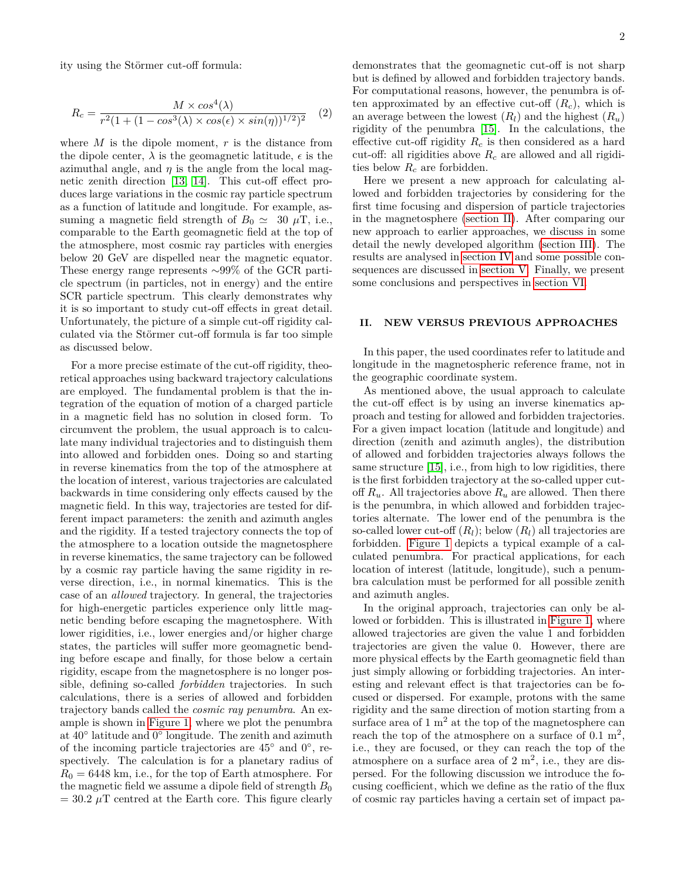ity using the Störmer cut-off formula:

$$
R_c = \frac{M \times \cos^4(\lambda)}{r^2 (1 + (1 - \cos^3(\lambda) \times \cos(\epsilon) \times \sin(\eta))^{1/2})^2}
$$
 (2)

where *M* is the dipole moment, *r* is the distance from the dipole center,  $\lambda$  is the geomagnetic latitude,  $\epsilon$  is the azimuthal angle, and  $\eta$  is the angle from the local magnetic zenith direction [\[13,](#page-7-10) [14\]](#page-7-11). This cut-off effect produces large variations in the cosmic ray particle spectrum as a function of latitude and longitude. For example, assuming a magnetic field strength of  $B_0 \simeq 30 \mu$ T, i.e., comparable to the Earth geomagnetic field at the top of the atmosphere, most cosmic ray particles with energies below 20 GeV are dispelled near the magnetic equator. These energy range represents ∼99% of the GCR particle spectrum (in particles, not in energy) and the entire SCR particle spectrum. This clearly demonstrates why it is so important to study cut-off effects in great detail. Unfortunately, the picture of a simple cut-off rigidity calculated via the Störmer cut-off formula is far too simple as discussed below.

For a more precise estimate of the cut-off rigidity, theoretical approaches using backward trajectory calculations are employed. The fundamental problem is that the integration of the equation of motion of a charged particle in a magnetic field has no solution in closed form. To circumvent the problem, the usual approach is to calculate many individual trajectories and to distinguish them into allowed and forbidden ones. Doing so and starting in reverse kinematics from the top of the atmosphere at the location of interest, various trajectories are calculated backwards in time considering only effects caused by the magnetic field. In this way, trajectories are tested for different impact parameters: the zenith and azimuth angles and the rigidity. If a tested trajectory connects the top of the atmosphere to a location outside the magnetosphere in reverse kinematics, the same trajectory can be followed by a cosmic ray particle having the same rigidity in reverse direction, i.e., in normal kinematics. This is the case of an *allowed* trajectory. In general, the trajectories for high-energetic particles experience only little magnetic bending before escaping the magnetosphere. With lower rigidities, i.e., lower energies and/or higher charge states, the particles will suffer more geomagnetic bending before escape and finally, for those below a certain rigidity, escape from the magnetosphere is no longer possible, defining so-called *forbidden* trajectories. In such calculations, there is a series of allowed and forbidden trajectory bands called the *cosmic ray penumbra*. An example is shown in [Figure 1,](#page-2-0) where we plot the penumbra at 40◦ latitude and 0 ◦ longitude. The zenith and azimuth of the incoming particle trajectories are  $45^{\circ}$  and  $0^{\circ}$ , respectively. The calculation is for a planetary radius of  $R_0 = 6448$  km, i.e., for the top of Earth atmosphere. For the magnetic field we assume a dipole field of strength  $B_0$  $= 30.2 \mu$ T centred at the Earth core. This figure clearly

demonstrates that the geomagnetic cut-off is not sharp but is defined by allowed and forbidden trajectory bands. For computational reasons, however, the penumbra is often approximated by an effective cut-off  $(R_c)$ , which is an average between the lowest  $(R_l)$  and the highest  $(R_u)$ rigidity of the penumbra [\[15\]](#page-7-12). In the calculations, the effective cut-off rigidity *R<sup>c</sup>* is then considered as a hard cut-off: all rigidities above *R<sup>c</sup>* are allowed and all rigidities below *R<sup>c</sup>* are forbidden.

Here we present a new approach for calculating allowed and forbidden trajectories by considering for the first time focusing and dispersion of particle trajectories in the magnetosphere [\(section II\)](#page-1-0). After comparing our new approach to earlier approaches, we discuss in some detail the newly developed algorithm [\(section III\)](#page-2-1). The results are analysed in [section IV](#page-3-0) and some possible consequences are discussed in [section V.](#page-5-0) Finally, we present some conclusions and perspectives in [section VI.](#page-6-0)

# <span id="page-1-0"></span>**II. NEW VERSUS PREVIOUS APPROACHES**

In this paper, the used coordinates refer to latitude and longitude in the magnetospheric reference frame, not in the geographic coordinate system.

As mentioned above, the usual approach to calculate the cut-off effect is by using an inverse kinematics approach and testing for allowed and forbidden trajectories. For a given impact location (latitude and longitude) and direction (zenith and azimuth angles), the distribution of allowed and forbidden trajectories always follows the same structure [\[15\]](#page-7-12), i.e., from high to low rigidities, there is the first forbidden trajectory at the so-called upper cutoff  $R_u$ . All trajectories above  $R_u$  are allowed. Then there is the penumbra, in which allowed and forbidden trajectories alternate. The lower end of the penumbra is the so-called lower cut-off  $(R_l)$ ; below  $(R_l)$  all trajectories are forbidden. [Figure 1](#page-2-0) depicts a typical example of a calculated penumbra. For practical applications, for each location of interest (latitude, longitude), such a penumbra calculation must be performed for all possible zenith and azimuth angles.

In the original approach, trajectories can only be allowed or forbidden. This is illustrated in [Figure 1,](#page-2-0) where allowed trajectories are given the value 1 and forbidden trajectories are given the value 0. However, there are more physical effects by the Earth geomagnetic field than just simply allowing or forbidding trajectories. An interesting and relevant effect is that trajectories can be focused or dispersed. For example, protons with the same rigidity and the same direction of motion starting from a surface area of  $1 \text{ m}^2$  at the top of the magnetosphere can reach the top of the atmosphere on a surface of  $0.1 \text{ m}^2$ , i.e., they are focused, or they can reach the top of the atmosphere on a surface area of  $2 \text{ m}^2$ , i.e., they are dispersed. For the following discussion we introduce the focusing coefficient, which we define as the ratio of the flux of cosmic ray particles having a certain set of impact pa-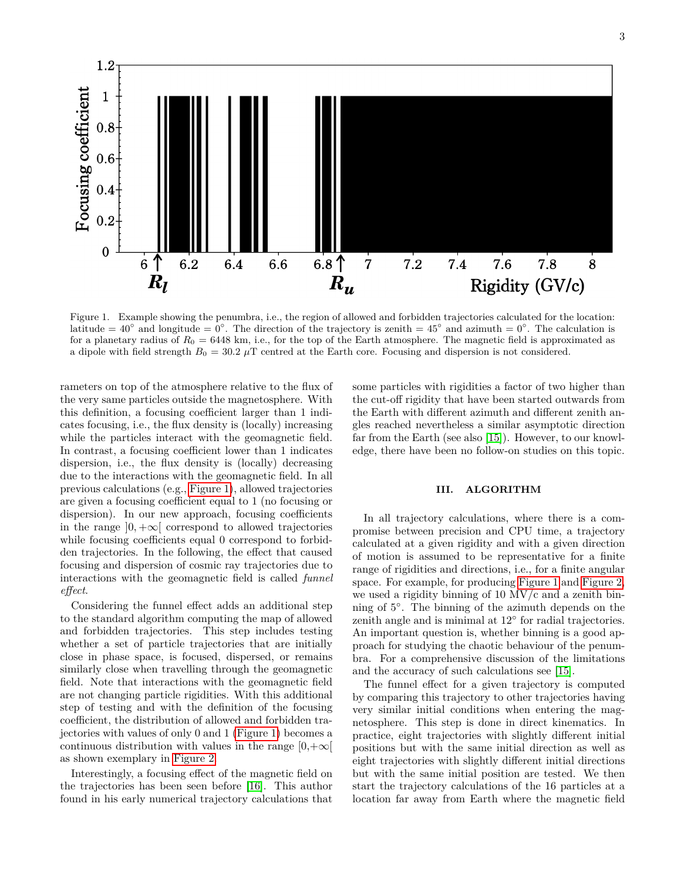$1.2\,$ Focusing coefficient  $\mathbf{1}$ 0.8  $0.6$  $0.4$  $0.2$  $\boldsymbol{0}$  $6.8$   $\uparrow$  $\mathcal{L}$ 7.6  $6\phantom{1}6$  $6.2$ 6.4 6.6  $\overline{7}$  $7.2$ 7.4 7.8 8  $\mathbf{R}_{\boldsymbol{u}}$  $R_l$ Rigidity (GV/c)

<span id="page-2-0"></span>Figure 1. Example showing the penumbra, i.e., the region of allowed and forbidden trajectories calculated for the location: latitude =  $40^{\circ}$  and longitude =  $0^{\circ}$ . The direction of the trajectory is zenith =  $45^{\circ}$  and azimuth =  $0^{\circ}$ . The calculation is for a planetary radius of  $R_0 = 6448$  km, i.e., for the top of the Earth atmosphere. The magnetic field is approximated as a dipole with field strength  $B_0 = 30.2 \mu T$  centred at the Earth core. Focusing and dispersion is not considered.

rameters on top of the atmosphere relative to the flux of the very same particles outside the magnetosphere. With this definition, a focusing coefficient larger than 1 indicates focusing, i.e., the flux density is (locally) increasing while the particles interact with the geomagnetic field. In contrast, a focusing coefficient lower than 1 indicates dispersion, i.e., the flux density is (locally) decreasing due to the interactions with the geomagnetic field. In all previous calculations (e.g., [Figure 1\)](#page-2-0), allowed trajectories are given a focusing coefficient equal to 1 (no focusing or dispersion). In our new approach, focusing coefficients in the range  $]0, +\infty[$  correspond to allowed trajectories while focusing coefficients equal 0 correspond to forbidden trajectories. In the following, the effect that caused focusing and dispersion of cosmic ray trajectories due to interactions with the geomagnetic field is called *funnel effect*.

Considering the funnel effect adds an additional step to the standard algorithm computing the map of allowed and forbidden trajectories. This step includes testing whether a set of particle trajectories that are initially close in phase space, is focused, dispersed, or remains similarly close when travelling through the geomagnetic field. Note that interactions with the geomagnetic field are not changing particle rigidities. With this additional step of testing and with the definition of the focusing coefficient, the distribution of allowed and forbidden trajectories with values of only 0 and 1 [\(Figure 1\)](#page-2-0) becomes a continuous distribution with values in the range  $[0,+\infty[$ as shown exemplary in [Figure 2.](#page-3-1)

Interestingly, a focusing effect of the magnetic field on the trajectories has been seen before [\[16\]](#page-7-13). This author found in his early numerical trajectory calculations that

some particles with rigidities a factor of two higher than the cut-off rigidity that have been started outwards from the Earth with different azimuth and different zenith angles reached nevertheless a similar asymptotic direction far from the Earth (see also [\[15\]](#page-7-12)). However, to our knowledge, there have been no follow-on studies on this topic.

# <span id="page-2-1"></span>**III. ALGORITHM**

In all trajectory calculations, where there is a compromise between precision and CPU time, a trajectory calculated at a given rigidity and with a given direction of motion is assumed to be representative for a finite range of rigidities and directions, i.e., for a finite angular space. For example, for producing [Figure 1](#page-2-0) and [Figure 2,](#page-3-1) we used a rigidity binning of 10 MV/c and a zenith binning of 5◦ . The binning of the azimuth depends on the zenith angle and is minimal at 12<sup>°</sup> for radial trajectories. An important question is, whether binning is a good approach for studying the chaotic behaviour of the penumbra. For a comprehensive discussion of the limitations and the accuracy of such calculations see [\[15\]](#page-7-12).

The funnel effect for a given trajectory is computed by comparing this trajectory to other trajectories having very similar initial conditions when entering the magnetosphere. This step is done in direct kinematics. In practice, eight trajectories with slightly different initial positions but with the same initial direction as well as eight trajectories with slightly different initial directions but with the same initial position are tested. We then start the trajectory calculations of the 16 particles at a location far away from Earth where the magnetic field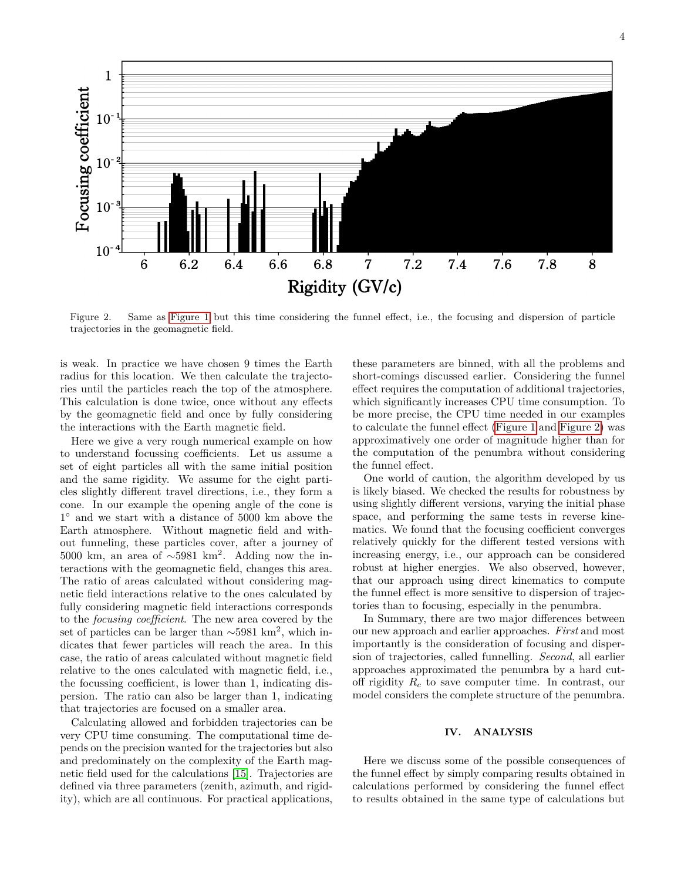4



<span id="page-3-1"></span>Figure 2. Same as [Figure 1](#page-2-0) but this time considering the funnel effect, i.e., the focusing and dispersion of particle trajectories in the geomagnetic field.

is weak. In practice we have chosen 9 times the Earth radius for this location. We then calculate the trajectories until the particles reach the top of the atmosphere. This calculation is done twice, once without any effects by the geomagnetic field and once by fully considering the interactions with the Earth magnetic field.

Here we give a very rough numerical example on how to understand focussing coefficients. Let us assume a set of eight particles all with the same initial position and the same rigidity. We assume for the eight particles slightly different travel directions, i.e., they form a cone. In our example the opening angle of the cone is 1 ◦ and we start with a distance of 5000 km above the Earth atmosphere. Without magnetic field and without funneling, these particles cover, after a journey of 5000 km, an area of  $\sim$ 5981 km<sup>2</sup>. Adding now the interactions with the geomagnetic field, changes this area. The ratio of areas calculated without considering magnetic field interactions relative to the ones calculated by fully considering magnetic field interactions corresponds to the *focusing coefficient*. The new area covered by the set of particles can be larger than  $\sim$ 5981 km<sup>2</sup>, which indicates that fewer particles will reach the area. In this case, the ratio of areas calculated without magnetic field relative to the ones calculated with magnetic field, i.e., the focussing coefficient, is lower than 1, indicating dispersion. The ratio can also be larger than 1, indicating that trajectories are focused on a smaller area.

Calculating allowed and forbidden trajectories can be very CPU time consuming. The computational time depends on the precision wanted for the trajectories but also and predominately on the complexity of the Earth magnetic field used for the calculations [\[15\]](#page-7-12). Trajectories are defined via three parameters (zenith, azimuth, and rigidity), which are all continuous. For practical applications,

these parameters are binned, with all the problems and short-comings discussed earlier. Considering the funnel effect requires the computation of additional trajectories, which significantly increases CPU time consumption. To be more precise, the CPU time needed in our examples to calculate the funnel effect [\(Figure 1](#page-2-0) and [Figure 2\)](#page-3-1) was approximatively one order of magnitude higher than for the computation of the penumbra without considering the funnel effect.

One world of caution, the algorithm developed by us is likely biased. We checked the results for robustness by using slightly different versions, varying the initial phase space, and performing the same tests in reverse kinematics. We found that the focusing coefficient converges relatively quickly for the different tested versions with increasing energy, i.e., our approach can be considered robust at higher energies. We also observed, however, that our approach using direct kinematics to compute the funnel effect is more sensitive to dispersion of trajectories than to focusing, especially in the penumbra.

In Summary, there are two major differences between our new approach and earlier approaches. *First* and most importantly is the consideration of focusing and dispersion of trajectories, called funnelling. *Second*, all earlier approaches approximated the penumbra by a hard cutoff rigidity *R<sup>c</sup>* to save computer time. In contrast, our model considers the complete structure of the penumbra.

# <span id="page-3-0"></span>**IV. ANALYSIS**

Here we discuss some of the possible consequences of the funnel effect by simply comparing results obtained in calculations performed by considering the funnel effect to results obtained in the same type of calculations but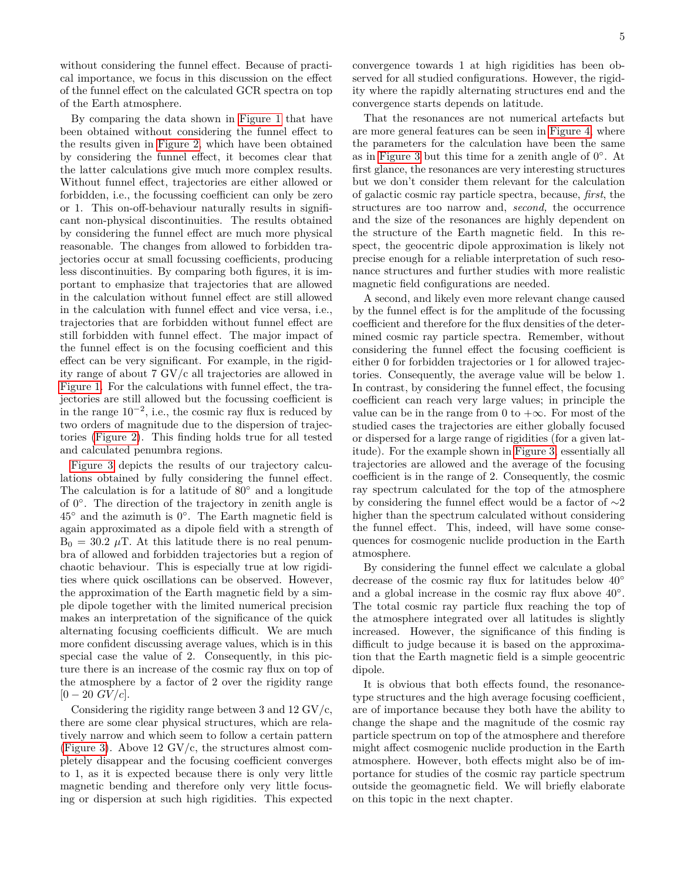without considering the funnel effect. Because of practical importance, we focus in this discussion on the effect of the funnel effect on the calculated GCR spectra on top of the Earth atmosphere.

By comparing the data shown in [Figure 1](#page-2-0) that have been obtained without considering the funnel effect to the results given in [Figure 2,](#page-3-1) which have been obtained by considering the funnel effect, it becomes clear that the latter calculations give much more complex results. Without funnel effect, trajectories are either allowed or forbidden, i.e., the focussing coefficient can only be zero or 1. This on-off-behaviour naturally results in significant non-physical discontinuities. The results obtained by considering the funnel effect are much more physical reasonable. The changes from allowed to forbidden trajectories occur at small focussing coefficients, producing less discontinuities. By comparing both figures, it is important to emphasize that trajectories that are allowed in the calculation without funnel effect are still allowed in the calculation with funnel effect and vice versa, i.e., trajectories that are forbidden without funnel effect are still forbidden with funnel effect. The major impact of the funnel effect is on the focusing coefficient and this effect can be very significant. For example, in the rigidity range of about 7 GV/c all trajectories are allowed in [Figure 1.](#page-2-0) For the calculations with funnel effect, the trajectories are still allowed but the focussing coefficient is in the range  $10^{-2}$ , i.e., the cosmic ray flux is reduced by two orders of magnitude due to the dispersion of trajectories [\(Figure 2\)](#page-3-1). This finding holds true for all tested and calculated penumbra regions.

[Figure 3](#page-5-1) depicts the results of our trajectory calculations obtained by fully considering the funnel effect. The calculation is for a latitude of 80◦ and a longitude of 0◦ . The direction of the trajectory in zenith angle is 45◦ and the azimuth is 0◦ . The Earth magnetic field is again approximated as a dipole field with a strength of  $B_0 = 30.2 \mu T$ . At this latitude there is no real penumbra of allowed and forbidden trajectories but a region of chaotic behaviour. This is especially true at low rigidities where quick oscillations can be observed. However, the approximation of the Earth magnetic field by a simple dipole together with the limited numerical precision makes an interpretation of the significance of the quick alternating focusing coefficients difficult. We are much more confident discussing average values, which is in this special case the value of 2. Consequently, in this picture there is an increase of the cosmic ray flux on top of the atmosphere by a factor of 2 over the rigidity range  $[0 - 20 \text{ } GV/c].$ 

Considering the rigidity range between 3 and 12 GV/c, there are some clear physical structures, which are relatively narrow and which seem to follow a certain pattern [\(Figure 3\)](#page-5-1). Above 12  $\rm GV/c$ , the structures almost completely disappear and the focusing coefficient converges to 1, as it is expected because there is only very little magnetic bending and therefore only very little focusing or dispersion at such high rigidities. This expected convergence towards 1 at high rigidities has been observed for all studied configurations. However, the rigidity where the rapidly alternating structures end and the convergence starts depends on latitude.

That the resonances are not numerical artefacts but are more general features can be seen in [Figure 4,](#page-5-2) where the parameters for the calculation have been the same as in [Figure 3](#page-5-1) but this time for a zenith angle of  $0^\circ$ . At first glance, the resonances are very interesting structures but we don't consider them relevant for the calculation of galactic cosmic ray particle spectra, because, *first*, the structures are too narrow and, *second,* the occurrence and the size of the resonances are highly dependent on the structure of the Earth magnetic field. In this respect, the geocentric dipole approximation is likely not precise enough for a reliable interpretation of such resonance structures and further studies with more realistic magnetic field configurations are needed.

A second, and likely even more relevant change caused by the funnel effect is for the amplitude of the focussing coefficient and therefore for the flux densities of the determined cosmic ray particle spectra. Remember, without considering the funnel effect the focusing coefficient is either 0 for forbidden trajectories or 1 for allowed trajectories. Consequently, the average value will be below 1. In contrast, by considering the funnel effect, the focusing coefficient can reach very large values; in principle the value can be in the range from 0 to  $+\infty$ . For most of the studied cases the trajectories are either globally focused or dispersed for a large range of rigidities (for a given latitude). For the example shown in [Figure 3,](#page-5-1) essentially all trajectories are allowed and the average of the focusing coefficient is in the range of 2. Consequently, the cosmic ray spectrum calculated for the top of the atmosphere by considering the funnel effect would be a factor of ∼2 higher than the spectrum calculated without considering the funnel effect. This, indeed, will have some consequences for cosmogenic nuclide production in the Earth atmosphere.

By considering the funnel effect we calculate a global decrease of the cosmic ray flux for latitudes below 40◦ and a global increase in the cosmic ray flux above  $40^{\circ}$ . The total cosmic ray particle flux reaching the top of the atmosphere integrated over all latitudes is slightly increased. However, the significance of this finding is difficult to judge because it is based on the approximation that the Earth magnetic field is a simple geocentric dipole.

It is obvious that both effects found, the resonancetype structures and the high average focusing coefficient, are of importance because they both have the ability to change the shape and the magnitude of the cosmic ray particle spectrum on top of the atmosphere and therefore might affect cosmogenic nuclide production in the Earth atmosphere. However, both effects might also be of importance for studies of the cosmic ray particle spectrum outside the geomagnetic field. We will briefly elaborate on this topic in the next chapter.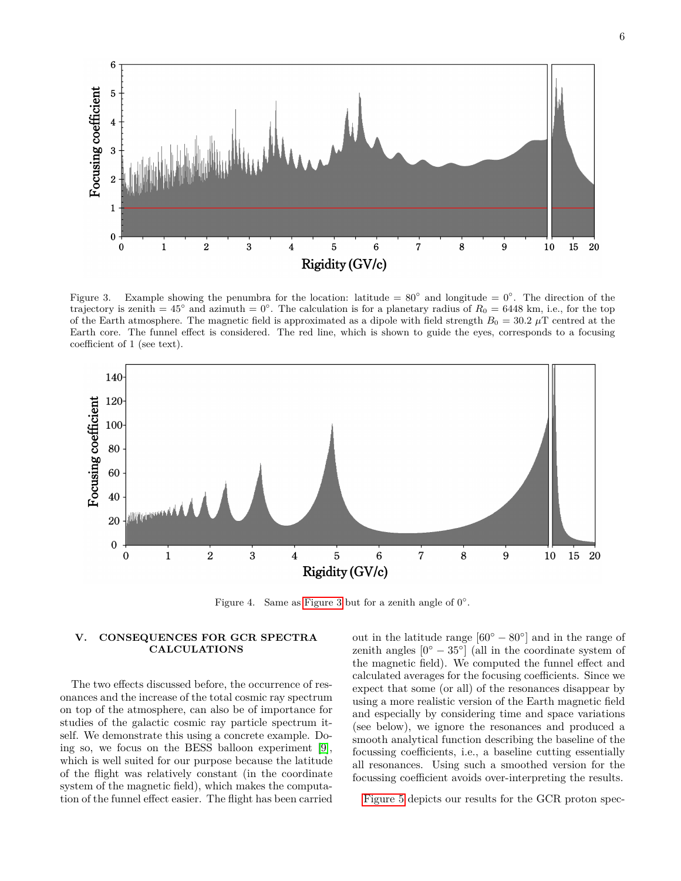

<span id="page-5-1"></span>Figure 3. Example showing the penumbra for the location: latitude =  $80^\circ$  and longitude =  $0^\circ$ . The direction of the trajectory is zenith =  $45^{\circ}$  and azimuth =  $0^{\circ}$ . The calculation is for a planetary radius of  $R_0 = 6448$  km, i.e., for the top of the Earth atmosphere. The magnetic field is approximated as a dipole with field strength  $B_0 = 30.2 \mu$ T centred at the Earth core. The funnel effect is considered. The red line, which is shown to guide the eyes, corresponds to a focusing coefficient of 1 (see text).



<span id="page-5-2"></span>Figure 4. Same as [Figure 3](#page-5-1) but for a zenith angle of  $0^{\circ}$ .

# <span id="page-5-0"></span>**V. CONSEQUENCES FOR GCR SPECTRA CALCULATIONS**

The two effects discussed before, the occurrence of resonances and the increase of the total cosmic ray spectrum on top of the atmosphere, can also be of importance for studies of the galactic cosmic ray particle spectrum itself. We demonstrate this using a concrete example. Doing so, we focus on the BESS balloon experiment [\[9\]](#page-7-6), which is well suited for our purpose because the latitude of the flight was relatively constant (in the coordinate system of the magnetic field), which makes the computation of the funnel effect easier. The flight has been carried

out in the latitude range  $[60^{\circ} - 80^{\circ}]$  and in the range of zenith angles  $[0^{\circ} - 35^{\circ}]$  (all in the coordinate system of the magnetic field). We computed the funnel effect and calculated averages for the focusing coefficients. Since we expect that some (or all) of the resonances disappear by using a more realistic version of the Earth magnetic field and especially by considering time and space variations (see below), we ignore the resonances and produced a smooth analytical function describing the baseline of the focussing coefficients, i.e., a baseline cutting essentially all resonances. Using such a smoothed version for the focussing coefficient avoids over-interpreting the results.

[Figure 5](#page-6-1) depicts our results for the GCR proton spec-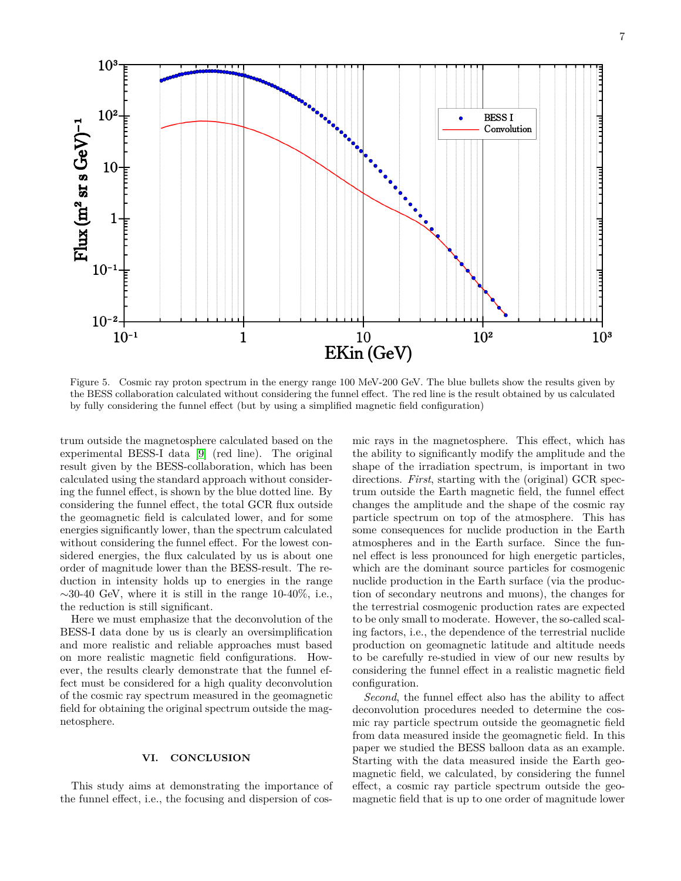

<span id="page-6-1"></span>Figure 5. Cosmic ray proton spectrum in the energy range 100 MeV-200 GeV. The blue bullets show the results given by the BESS collaboration calculated without considering the funnel effect. The red line is the result obtained by us calculated by fully considering the funnel effect (but by using a simplified magnetic field configuration)

trum outside the magnetosphere calculated based on the experimental BESS-I data [\[9\]](#page-7-6) (red line). The original result given by the BESS-collaboration, which has been calculated using the standard approach without considering the funnel effect, is shown by the blue dotted line. By considering the funnel effect, the total GCR flux outside the geomagnetic field is calculated lower, and for some energies significantly lower, than the spectrum calculated without considering the funnel effect. For the lowest considered energies, the flux calculated by us is about one order of magnitude lower than the BESS-result. The reduction in intensity holds up to energies in the range  $\sim$ 30-40 GeV, where it is still in the range 10-40%, i.e., the reduction is still significant.

Here we must emphasize that the deconvolution of the BESS-I data done by us is clearly an oversimplification and more realistic and reliable approaches must based on more realistic magnetic field configurations. However, the results clearly demonstrate that the funnel effect must be considered for a high quality deconvolution of the cosmic ray spectrum measured in the geomagnetic field for obtaining the original spectrum outside the magnetosphere.

# <span id="page-6-0"></span>**VI. CONCLUSION**

This study aims at demonstrating the importance of the funnel effect, i.e., the focusing and dispersion of cosmic rays in the magnetosphere. This effect, which has the ability to significantly modify the amplitude and the shape of the irradiation spectrum, is important in two directions. *First*, starting with the (original) GCR spectrum outside the Earth magnetic field, the funnel effect changes the amplitude and the shape of the cosmic ray particle spectrum on top of the atmosphere. This has some consequences for nuclide production in the Earth atmospheres and in the Earth surface. Since the funnel effect is less pronounced for high energetic particles, which are the dominant source particles for cosmogenic nuclide production in the Earth surface (via the production of secondary neutrons and muons), the changes for the terrestrial cosmogenic production rates are expected to be only small to moderate. However, the so-called scaling factors, i.e., the dependence of the terrestrial nuclide production on geomagnetic latitude and altitude needs to be carefully re-studied in view of our new results by considering the funnel effect in a realistic magnetic field configuration.

*Second*, the funnel effect also has the ability to affect deconvolution procedures needed to determine the cosmic ray particle spectrum outside the geomagnetic field from data measured inside the geomagnetic field. In this paper we studied the BESS balloon data as an example. Starting with the data measured inside the Earth geomagnetic field, we calculated, by considering the funnel effect, a cosmic ray particle spectrum outside the geomagnetic field that is up to one order of magnitude lower